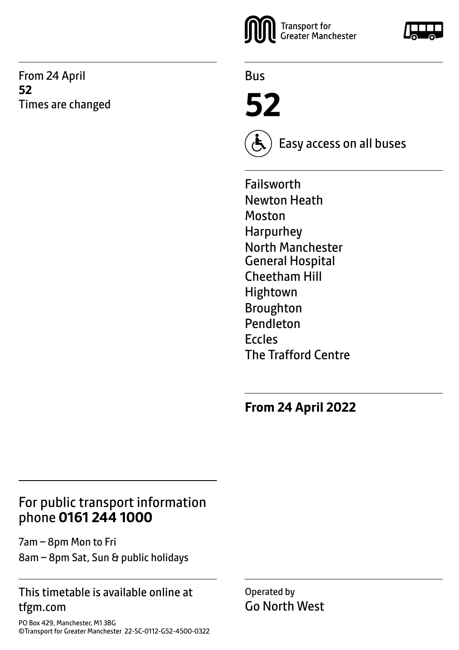From 24 April **52** Times are changed



Bus

**52**



Easy access on all buses

Failsworth Newton Heath Moston Harpurhey North Manchester General Hospital Cheetham Hill Hightown Broughton Pendleton Eccles The Trafford Centre

**From 24 April 2022**

# For public transport information phone **0161 244 1000**

7am – 8pm Mon to Fri 8am – 8pm Sat, Sun & public holidays

### This timetable is available online at tfgm.com

PO Box 429, Manchester, M1 3BG ©Transport for Greater Manchester 22-SC-0112-G52-4500-0322 Operated by Go North West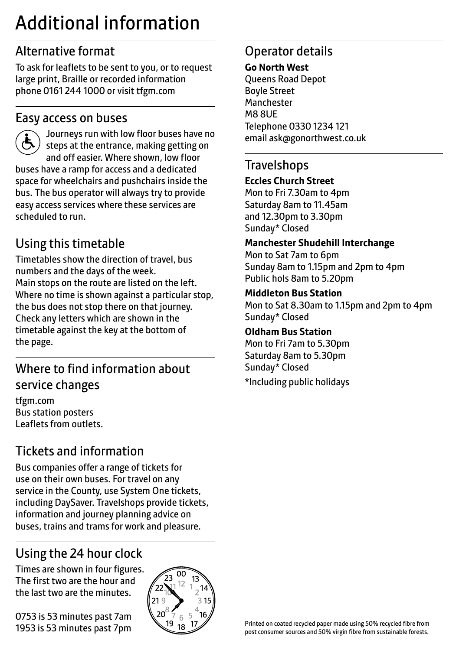# Additional information

# Alternative format

To ask for leaflets to be sent to you, or to request large print, Braille or recorded information phone 0161 244 1000 or visit tfgm.com

### Easy access on buses



scheduled to run.

 Journeys run with low floor buses have no steps at the entrance, making getting on and off easier. Where shown, low floor buses have a ramp for access and a dedicated space for wheelchairs and pushchairs inside the bus. The bus operator will always try to provide easy access services where these services are

# Using this timetable

Timetables show the direction of travel, bus numbers and the days of the week. Main stops on the route are listed on the left. Where no time is shown against a particular stop, the bus does not stop there on that journey. Check any letters which are shown in the timetable against the key at the bottom of the page.

# Where to find information about service changes

tfgm.com Bus station posters Leaflets from outlets.

# Tickets and information

Bus companies offer a range of tickets for use on their own buses. For travel on any service in the County, use System One tickets, including DaySaver. Travelshops provide tickets, information and journey planning advice on buses, trains and trams for work and pleasure.

# Using the 24 hour clock

Times are shown in four figures. The first two are the hour and the last two are the minutes.

0753 is 53 minutes past 7am 1953 is 53 minutes past 7pm



# Operator details

#### **Go North West**

Queens Road Depot Boyle Street Manchester M8 8UE Telephone 0330 1234 121 email ask@gonorthwest.co.uk

### **Travelshops**

#### **Eccles Church Street**

Mon to Fri 7.30am to 4pm Saturday 8am to 11.45am and 12.30pm to 3.30pm Sunday\* Closed

#### **Manchester Shudehill Interchange**

Mon to Sat 7am to 6pm Sunday 8am to 1.15pm and 2pm to 4pm Public hols 8am to 5.20pm

#### **Middleton Bus Station**

Mon to Sat 8.30am to 1.15pm and 2pm to 4pm Sunday\* Closed

#### **Oldham Bus Station**

Mon to Fri 7am to 5.30pm Saturday 8am to 5.30pm Sunday\* Closed \*Including public holidays

Printed on coated recycled paper made using 50% recycled fibre from post consumer sources and 50% virgin fibre from sustainable forests.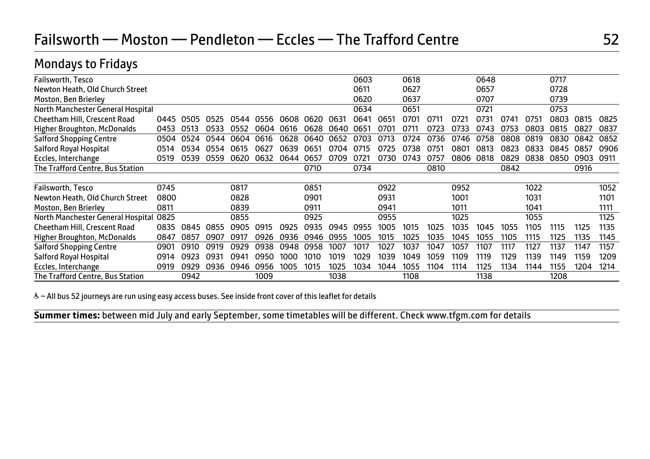# Mondays to Fridays

| Failsworth, Tesco                 |      |      |      |      |      |      |       |      | 0603 |      | 0618 |      |      | 0648 |      |      | 0717 |      |      |
|-----------------------------------|------|------|------|------|------|------|-------|------|------|------|------|------|------|------|------|------|------|------|------|
| Newton Heath, Old Church Street   |      |      |      |      |      |      |       |      | 0611 |      | 0627 |      |      | 0657 |      |      | 0728 |      |      |
| Moston, Ben Brierley              |      |      |      |      |      |      |       |      | 0620 |      | 0637 |      |      | 0707 |      |      | 0739 |      |      |
| North Manchester General Hospital |      |      |      |      |      |      |       |      | 0634 |      | 0651 |      |      | 0721 |      |      | 0753 |      |      |
| Cheetham Hill, Crescent Road      | 0445 | 0505 | 0525 | 0544 | 0556 | 0608 | ุกธวก | 0631 | 0641 | 0651 | 0701 |      | 0721 | 0731 | 0741 | 0751 | 0803 | 0815 | 0825 |
| Higher Broughton, McDonalds       | 0453 | 0513 | 0533 | 0552 | 0604 | 0616 | 0628  | 0640 | 0651 | 070. | ገ711 |      | 0733 | በ743 | 0753 | 0803 | 0815 | 0827 | 0837 |
| <b>Salford Shopping Centre</b>    | 0504 | 0524 | 0544 | 0604 | 0616 | 0628 | 0640  | 0652 | 0703 | 0713 | 0724 | 0736 | 0746 | 0758 | 0808 | 0819 | 0830 | 0842 | 0852 |
| Salford Royal Hospital            | 0514 | 0534 | 0554 | 0615 | 0627 | 0639 | 0651  | 0704 | 0715 | 0725 | 0738 | 0751 | 0801 | 0813 | 0823 | 0833 | 0845 | 0857 | 0906 |
| Eccles, Interchange               | 0519 | 0539 | 0559 | 0620 | 0632 | 0644 | 0657  | 0709 | 0721 | 0730 | 0743 | 0757 | 0806 | 0818 | 0829 | 0838 | 0850 | 0903 | 0911 |
| The Trafford Centre, Bus Station  |      |      |      |      |      |      | 0710  |      | 0734 |      |      | 0810 |      |      | 0842 |      |      | 0916 |      |
|                                   |      |      |      |      |      |      |       |      |      |      |      |      |      |      |      |      |      |      |      |
| Failsworth, Tesco                 | 0745 |      |      | 0817 |      |      | 0851  |      |      | 0922 |      |      | 0952 |      |      | 1022 |      |      | 1052 |
| Newton Heath, Old Church Street   | 0800 |      |      | 0828 |      |      | 0901  |      |      | 0931 |      |      | 1001 |      |      | 1031 |      |      | 1101 |
| Moston, Ben Brierley              | 0811 |      |      | 0839 |      |      | 0911  |      |      | 0941 |      |      | 1011 |      |      | 1041 |      |      | 1111 |
| North Manchester General Hospital | 0825 |      |      | 0855 |      |      | 0925  |      |      | 0955 |      |      | 1025 |      |      | 1055 |      |      | 1125 |
| Cheetham Hill, Crescent Road      | 0835 | 0845 | 0855 | 0905 | 0915 | 0925 | 0935  | 0945 | 0955 | 1005 | 1015 | 1025 | 1035 | 1045 | 1055 | 1105 | 1115 | 1125 | 1135 |
| Higher Broughton, McDonalds       | 0847 | 0857 | 0907 | 0917 | 0926 | 0936 | 0946  | 0955 | 1005 | 1015 | 1025 | 1035 | 1045 | 1055 | 1105 | 1115 | 1125 | 1135 | 1145 |
| <b>Salford Shopping Centre</b>    | 0901 | 0910 | 0919 | 0929 | 0938 | 0948 | 0958  | 1007 | 1017 | 1027 | 1037 | 1047 | 1057 | 1107 | 1117 | 1127 | 1137 | 1147 | 1157 |
| Salford Royal Hospital            | 0914 | 0923 | 0931 | 0941 | 0950 | 1000 | 1010  | 1019 | 1029 | 1039 | 1049 | 1059 | 1109 | 1119 | 1129 | 1139 | 1149 | 1159 | 1209 |
| Eccles, Interchange               | 0919 | 0929 | 0936 | 0946 | 0956 | 1005 | 1015  | 1025 | 1034 | 1044 | 1055 | 1104 | 1114 | 1125 | 1134 | 1144 | 1155 | 1204 | 1214 |
| The Trafford Centre, Bus Station  |      | 0942 |      |      | 1009 |      |       | 1038 |      |      | 1108 |      |      | 1138 |      |      | 1208 |      |      |

& - All bus 52 journeys are run using easy access buses. See inside front cover of this leaflet for details

Ï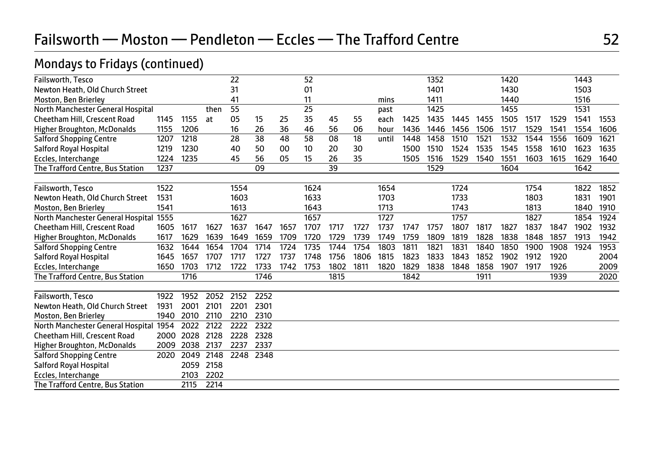# Mondays to Fridays (continued)

| Failsworth, Tesco                      |      |      |      | 22   |      |      | 52   |      |      |       |      | 1352 |      |      | 1420 |      |      | 1443 |      |
|----------------------------------------|------|------|------|------|------|------|------|------|------|-------|------|------|------|------|------|------|------|------|------|
| Newton Heath, Old Church Street        |      |      |      | 31   |      |      | 01   |      |      |       |      | 1401 |      |      | 1430 |      |      | 1503 |      |
| Moston, Ben Brierley                   |      |      |      | 41   |      |      | 11   |      |      | mins  |      | 1411 |      |      | 1440 |      |      | 1516 |      |
| North Manchester General Hospital      |      |      | then | 55   |      |      | 25   |      |      | past  |      | 1425 |      |      | 1455 |      |      | 1531 |      |
| Cheetham Hill, Crescent Road           | 1145 | 1155 | at   | 05   | 15   | 25   | 35   | 45   | 55   | each  | 1425 | 1435 | 1445 | 1455 | 1505 | 1517 | 1529 | 1541 | 1553 |
| <b>Higher Broughton, McDonalds</b>     | 1155 | 1206 |      | 16   | 26   | 36   | 46   | 56   | 06   | hour  | 1436 | 1446 | 1456 | 1506 | 1517 | 1529 | 1541 | 1554 | 1606 |
| <b>Salford Shopping Centre</b>         | 1207 | 1218 |      | 28   | 38   | 48   | 58   | 08   | 18   | until | 1448 | 1458 | 1510 | 1521 | 1532 | 1544 | 1556 | 1609 | 1621 |
| Salford Royal Hospital                 | 1219 | 1230 |      | 40   | 50   | 00   | 10   | 20   | 30   |       | 1500 | 1510 | 1524 | 1535 | 1545 | 1558 | 1610 | 1623 | 1635 |
| Eccles, Interchange                    | 1224 | 1235 |      | 45   | 56   | 05   | 15   | 26   | 35   |       | 1505 | 1516 | 1529 | 1540 | 1551 | 1603 | 1615 | 1629 | 1640 |
| The Trafford Centre, Bus Station       | 1237 |      |      |      | 09   |      |      | 39   |      |       |      | 1529 |      |      | 1604 |      |      | 1642 |      |
| Failsworth, Tesco                      | 1522 |      |      | 1554 |      |      | 1624 |      |      | 1654  |      |      | 1724 |      |      | 1754 |      | 1822 | 1852 |
| Newton Heath, Old Church Street        | 1531 |      |      | 1603 |      |      | 1633 |      |      | 1703  |      |      | 1733 |      |      | 1803 |      | 1831 | 1901 |
| Moston, Ben Brierley                   | 1541 |      |      | 1613 |      |      | 1643 |      |      | 1713  |      |      | 1743 |      |      | 1813 |      | 1840 | 1910 |
| North Manchester General Hospital 1555 |      |      |      | 1627 |      |      | 1657 |      |      | 1727  |      |      | 1757 |      |      | 1827 |      | 1854 | 1924 |
| Cheetham Hill, Crescent Road           | 1605 | 1617 | 1627 | 1637 | 1647 | 1657 | 1707 | 1717 | 1727 | 1737  | 1747 | 1757 | 1807 | 1817 | 1827 | 1837 | 1847 | 1902 | 1932 |
| <b>Higher Broughton, McDonalds</b>     | 1617 | 1629 | 1639 | 1649 | 1659 | 1709 | 1720 | 1729 | 1739 | 1749  | 1759 | 1809 | 1819 | 1828 | 1838 | 1848 | 1857 | 1913 | 1942 |
| <b>Salford Shopping Centre</b>         | 1632 | 1644 | 1654 | 1704 | 1714 | 1724 | 1735 | 1744 | 1754 | 1803  | 1811 | 1821 | 1831 | 1840 | 1850 | 1900 | 1908 | 1924 | 1953 |
| Salford Royal Hospital                 | 1645 | 1657 | 1707 | 1717 | 1727 | 1737 | 1748 | 1756 | 1806 | 1815  | 1823 | 1833 | 1843 | 1852 | 1902 | 1912 | 1920 |      | 2004 |
| Eccles, Interchange                    | 1650 | 1703 | 1712 | 1722 | 1733 | 1742 | 1753 | 1802 | 1811 | 1820  | 1829 | 1838 | 1848 | 1858 | 1907 | 1917 | 1926 |      | 2009 |
| The Trafford Centre, Bus Station       |      | 1716 |      |      | 1746 |      |      | 1815 |      |       | 1842 |      |      | 1911 |      |      | 1939 |      | 2020 |
| Failsworth, Tesco                      | 1922 | 1952 | 2052 | 2152 | 2252 |      |      |      |      |       |      |      |      |      |      |      |      |      |      |
| Newton Heath, Old Church Street        | 1931 | 2001 | 2101 | 2201 | 2301 |      |      |      |      |       |      |      |      |      |      |      |      |      |      |
| Moston, Ben Brierley                   | 1940 | 2010 | 2110 | 2210 | 2310 |      |      |      |      |       |      |      |      |      |      |      |      |      |      |
| North Manchester General Hospital      | 1954 | 2022 | 2122 | 2222 | 2322 |      |      |      |      |       |      |      |      |      |      |      |      |      |      |
| <b>Cheetham Hill, Crescent Road</b>    | 2000 | 2028 | 2128 | 2228 | 2328 |      |      |      |      |       |      |      |      |      |      |      |      |      |      |
| <b>Higher Broughton, McDonalds</b>     | 2009 | 2038 | 2137 | 2237 | 2337 |      |      |      |      |       |      |      |      |      |      |      |      |      |      |
| <b>Salford Shopping Centre</b>         | 2020 | 2049 | 2148 | 2248 | 2348 |      |      |      |      |       |      |      |      |      |      |      |      |      |      |
| Salford Royal Hospital                 |      | 2059 | 2158 |      |      |      |      |      |      |       |      |      |      |      |      |      |      |      |      |
| Eccles, Interchange                    |      | 2103 | 2202 |      |      |      |      |      |      |       |      |      |      |      |      |      |      |      |      |
| The Trafford Centre, Bus Station       |      | 2115 | 2214 |      |      |      |      |      |      |       |      |      |      |      |      |      |      |      |      |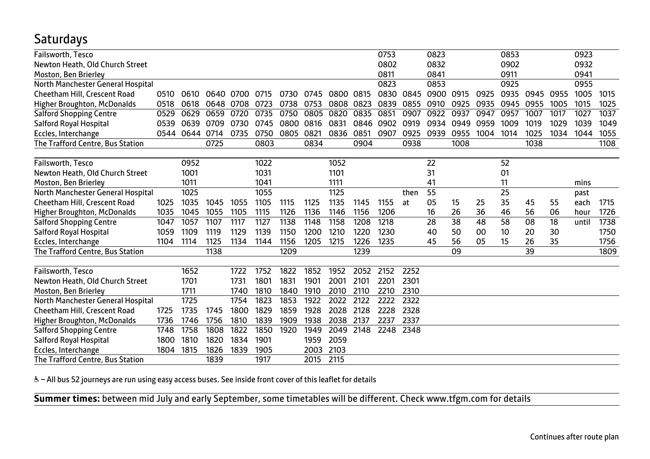# **Saturdays**

| Failsworth, Tesco                   |      |      |      |      |      |      |      |      |      | 0753      |      | 0823 |      |      | 0853 |      |      | 0923  |      |
|-------------------------------------|------|------|------|------|------|------|------|------|------|-----------|------|------|------|------|------|------|------|-------|------|
| Newton Heath, Old Church Street     |      |      |      |      |      |      |      |      |      | 0802      |      | 0832 |      |      | 0902 |      |      | 0932  |      |
| Moston, Ben Brierley                |      |      |      |      |      |      |      |      |      | 0811      |      | 0841 |      |      | 0911 |      |      | 0941  |      |
| North Manchester General Hospital   |      |      |      |      |      |      |      |      |      | 0823      |      | 0853 |      |      | 0925 |      |      | 0955  |      |
| Cheetham Hill, Crescent Road        | 0510 | 0610 | 0640 | 0700 | 0715 | 0730 | 0745 | 0800 | 0815 | 0830      | 0845 | 0900 | 0915 | 0925 | 0935 | 0945 | 0955 | 1005  | 1015 |
| <b>Higher Broughton, McDonalds</b>  | 0518 | 0618 | 0648 | 0708 | 0723 | 0738 | 0753 | 0808 | 0823 | 0839      | 0855 | 0910 | 0925 | 0935 | 0945 | 0955 | 1005 | 1015  | 1025 |
| <b>Salford Shopping Centre</b>      | 0529 | 0629 | 0659 | 0720 | 0735 | 0750 | 0805 | 0820 | 0835 | 0851      | 0907 | 0922 | 0937 | 0947 | 0957 | 1007 | 1017 | 1027  | 1037 |
| Salford Royal Hospital              | 0539 | 0639 | 0709 | 0730 | 0745 | 0800 | 0816 | 0831 |      | 0846 0902 | 0919 | 0934 | 0949 | 0959 | 1009 | 1019 | 1029 | 1039  | 1049 |
| Eccles, Interchange                 | 0544 | 0644 | 0714 | 0735 | 0750 | 0805 | 0821 | 0836 | 0851 | 0907      | 0925 | 0939 | 0955 | 1004 | 1014 | 1025 | 1034 | 1044  | 1055 |
| The Trafford Centre, Bus Station    |      |      | 0725 |      | 0803 |      | 0834 |      | 0904 |           | 0938 |      | 1008 |      |      | 1038 |      |       | 1108 |
|                                     |      |      |      |      |      |      |      |      |      |           |      |      |      |      |      |      |      |       |      |
| Failsworth, Tesco                   |      | 0952 |      |      | 1022 |      |      | 1052 |      |           |      | 22   |      |      | 52   |      |      |       |      |
| Newton Heath, Old Church Street     |      | 1001 |      |      | 1031 |      |      | 1101 |      |           |      | 31   |      |      | 01   |      |      |       |      |
| Moston, Ben Brierley                |      | 1011 |      |      | 1041 |      |      | 1111 |      |           |      | 41   |      |      | 11   |      |      | mins  |      |
| North Manchester General Hospital   |      | 1025 |      |      | 1055 |      |      | 1125 |      |           | then | 55   |      |      | 25   |      |      | past  |      |
| <b>Cheetham Hill, Crescent Road</b> | 1025 | 1035 | 1045 | 1055 | 1105 | 1115 | 1125 | 1135 | 1145 | 1155      | at   | 05   | 15   | 25   | 35   | 45   | 55   | each  | 1715 |
| <b>Higher Broughton, McDonalds</b>  | 1035 | 1045 | 1055 | 1105 | 1115 | 1126 | 1136 | 1146 | 1156 | 1206      |      | 16   | 26   | 36   | 46   | 56   | 06   | hour  | 1726 |
| <b>Salford Shopping Centre</b>      | 1047 | 1057 | 1107 | 1117 | 1127 | 1138 | 1148 | 1158 | 1208 | 1218      |      | 28   | 38   | 48   | 58   | 08   | 18   | until | 1738 |
| Salford Royal Hospital              | 1059 | 1109 | 1119 | 1129 | 1139 | 1150 | 1200 | 1210 | 1220 | 1230      |      | 40   | 50   | 00   | 10   | 20   | 30   |       | 1750 |
| Eccles, Interchange                 | 1104 | 1114 | 1125 | 1134 | 1144 | 1156 | 1205 | 1215 | 1226 | 1235      |      | 45   | 56   | 05   | 15   | 26   | 35   |       | 1756 |
| The Trafford Centre, Bus Station    |      |      | 1138 |      |      | 1209 |      |      | 1239 |           |      |      | 09   |      |      | 39   |      |       | 1809 |
|                                     |      |      |      |      |      |      |      |      |      |           |      |      |      |      |      |      |      |       |      |
| Failsworth, Tesco                   |      | 1652 |      | 1722 | 1752 | 1822 | 1852 | 1952 | 2052 | 2152      | 2252 |      |      |      |      |      |      |       |      |
| Newton Heath, Old Church Street     |      | 1701 |      | 1731 | 1801 | 1831 | 1901 | 2001 | 2101 | 2201      | 2301 |      |      |      |      |      |      |       |      |
| Moston, Ben Brierley                |      | 1711 |      | 1740 | 1810 | 1840 | 1910 | 2010 | 2110 | 2210      | 2310 |      |      |      |      |      |      |       |      |
| North Manchester General Hospital   |      | 1725 |      | 1754 | 1823 | 1853 | 1922 | 2022 | 2122 | 2222      | 2322 |      |      |      |      |      |      |       |      |
| Cheetham Hill, Crescent Road        | 1725 | 1735 | 1745 | 1800 | 1829 | 1859 | 1928 | 2028 | 2128 | 2228      | 2328 |      |      |      |      |      |      |       |      |
| <b>Higher Broughton, McDonalds</b>  | 1736 | 1746 | 1756 | 1810 | 1839 | 1909 | 1938 | 2038 | 2137 | 2237      | 2337 |      |      |      |      |      |      |       |      |
| <b>Salford Shopping Centre</b>      | 1748 | 1758 | 1808 | 1822 | 1850 | 1920 | 1949 | 2049 | 2148 | 2248      | 2348 |      |      |      |      |      |      |       |      |
| Salford Royal Hospital              | 1800 | 1810 | 1820 | 1834 | 1901 |      | 1959 | 2059 |      |           |      |      |      |      |      |      |      |       |      |
| Eccles, Interchange                 | 1804 | 1815 | 1826 | 1839 | 1905 |      | 2003 | 2103 |      |           |      |      |      |      |      |      |      |       |      |
| The Trafford Centre, Bus Station    |      |      | 1839 |      | 1917 |      | 2015 | 2115 |      |           |      |      |      |      |      |      |      |       |      |

& - All bus 52 journeys are run using easy access buses. See inside front cover of this leaflet for details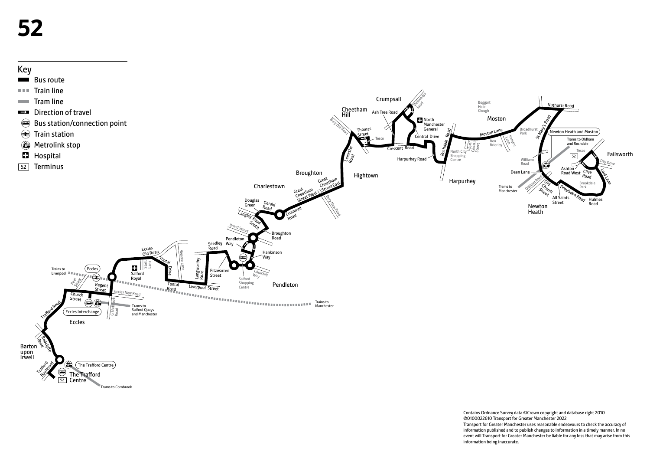

Contains Ordnance Survey data ©Crown copyright and database right 2010 ©0100022610 Transport for Greater Manchester 2022 Transport for Greater Manchester uses reasonable endeavours to check the accuracy of information published and to publish changes to information in a timely manner. In no event will Transport for Greater Manchester be liable for any loss that may arise from this information being inaccurate.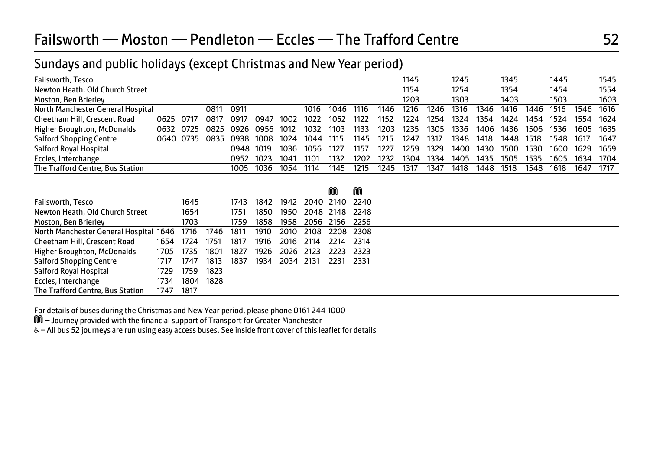# Failsworth — Moston — Pendleton — Eccles — The Trafford Centre 6 1996 1997 1998 1998

# Sundays and public holidays (except Christmas and New Year period)

| Failsworth, Tesco                  |       |      |      |      |      |      |      |      |      |      | 1145 |      | 1245 |      | 1345 |      | 1445 |      | 1545 |
|------------------------------------|-------|------|------|------|------|------|------|------|------|------|------|------|------|------|------|------|------|------|------|
| Newton Heath, Old Church Street    |       |      |      |      |      |      |      |      |      |      | 1154 |      | 1254 |      | 1354 |      | 1454 |      | 1554 |
| Moston, Ben Brierley               |       |      |      |      |      |      |      |      |      |      | 1203 |      | 1303 |      | 1403 |      | 1503 |      | 1603 |
| North Manchester General Hospital  |       |      | 0811 | 0911 |      |      | 1016 | 1046 | 1116 | 1146 | 1216 | 1246 | 1316 | 1346 | 1416 | 1446 | 1516 | 1546 | 1616 |
| Cheetham Hill, Crescent Road       | 0625  | 0717 | 0817 | 0917 | 0947 | 1002 | 1022 | 1052 | 1122 | 1152 | 1224 | 1254 | 1324 | 1354 | 1424 | 1454 | 1524 | 1554 | 1624 |
| <b>Higher Broughton, McDonalds</b> | 0632  | 0725 | 0825 | 0926 | 0956 | 1012 | 1032 | 1103 | 1133 | 1203 | 1235 | 1305 | 1336 | 1406 | 1436 | 1506 | 1536 | 1605 | 1635 |
| <b>Salford Shopping Centre</b>     | 0640. | 0735 | 0835 | 0938 | 1008 | 1024 | 1044 | 1115 | 1145 | 1215 | 1247 | 1317 | 1348 | 1418 | 1448 | 1518 | 1548 | 1617 | 1647 |
| Salford Royal Hospital             |       |      |      | 0948 | 1019 | 1036 | 1056 | 1127 | 1157 | 1227 | 1259 | 1329 | 1400 | 1430 | 1500 | 1530 | 1600 | 1629 | 1659 |
| Eccles, Interchange                |       |      |      | 0952 | 1023 | 1041 | 1101 | 1132 | 1202 | 1232 | 1304 | 1334 | 1405 | 1435 | 1505 | 1535 | 1605 | 1634 | 1704 |
| The Trafford Centre, Bus Station   |       |      |      | 1005 | 1036 | 1054 | 1114 | 1145 | 1215 | 1245 | 1317 | 1347 | 1418 | 1448 | 1518 | 1548 | 1618 | 1647 | 1717 |
|                                    |       |      |      |      |      |      |      |      |      |      |      |      |      |      |      |      |      |      |      |

|                                                       |      |           |      |      |      |           |                | ⋒         | M      |  |
|-------------------------------------------------------|------|-----------|------|------|------|-----------|----------------|-----------|--------|--|
| Failsworth, Tesco                                     |      | 1645      |      | 1743 | 1842 | 1942      | 2040 2140 2240 |           |        |  |
| Newton Heath, Old Church Street                       |      | 1654      |      | 1751 | 1850 | 1950      | 2048 2148 2248 |           |        |  |
| Moston, Ben Brierley                                  |      | 1703      |      | 1759 | 1858 | 1958      | 2056           | 2156      | 2256   |  |
| North Manchester General Hospital 1646 1716 1746 1811 |      |           |      |      | 1910 | 2010      | 2108           | 2208 2308 |        |  |
| Cheetham Hill, Crescent Road                          | 1654 | 1724      | 1751 | 1817 | 1916 | 2016      | 2114           | 2214      | - 2314 |  |
| <b>Higher Broughton, McDonalds</b>                    | 1705 | 1735      | 1801 | 1827 | 1926 | 2026      | 2123           | 2223      | - 2323 |  |
| <b>Salford Shopping Centre</b>                        | 1717 | 1747      | 1813 | 1837 | 1934 | 2034 2131 |                | 2231      | - 2331 |  |
| Salford Royal Hospital                                | 1729 | 1759      | 1823 |      |      |           |                |           |        |  |
| Eccles, Interchange                                   | 1734 | 1804 1828 |      |      |      |           |                |           |        |  |
| The Trafford Centre, Bus Station                      | 1747 | 1817      |      |      |      |           |                |           |        |  |

For details of buses during the Christmas and New Year period, please phone 0161 244 1000

M – Journey provided with the financial support of Transport for Greater Manchester

W– All bus 52 journeys are run using easy access buses. See inside front cover of this leaflet for details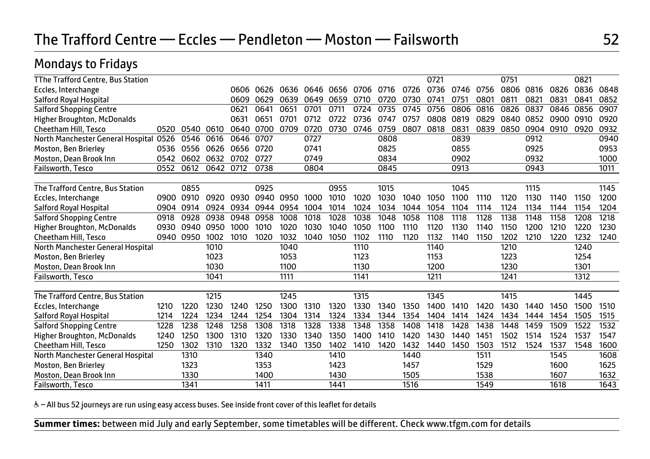# Mondays to Fridays

| TThe Trafford Centre, Bus Station  |      |      |      |      |      |      |      |      |      |      |      | 0721 |      |      | 0751 |      |      | 0821 |      |
|------------------------------------|------|------|------|------|------|------|------|------|------|------|------|------|------|------|------|------|------|------|------|
| Eccles, Interchange                |      |      |      | 0606 | 0626 | 0636 | 0646 | 0656 | 0706 | 0716 | 0726 | 0736 | 0746 | 0756 | 0806 | 0816 | 0826 | 0836 | 0848 |
| Salford Royal Hospital             |      |      |      | 0609 | 0629 | 0639 | 0649 | 0659 | 0710 | 0720 | 0730 | 0741 | 0751 | 0801 | 0811 | 0821 | 0831 | 0841 | 0852 |
| <b>Salford Shopping Centre</b>     |      |      |      | 0621 | 0641 | 0651 | 0701 | 0711 | 0724 | 0735 | 0745 | 0756 | 0806 | 0816 | 0826 | 0837 | 0846 | 0856 | 0907 |
| <b>Higher Broughton, McDonalds</b> |      |      |      | 0631 | 0651 | 0701 | 0712 | 0722 | 0736 | 0747 | 0757 | 0808 | 0819 | 0829 | 0840 | 0852 | 0900 | 0910 | 0920 |
| Cheetham Hill, Tesco               | 0520 | 0540 | 0610 | 0640 | 0700 | 0709 | 0720 | 0730 | 0746 | 0759 | 0807 | 0818 | 0831 | 0839 | 0850 | 0904 | 0910 | 0920 | 0932 |
| North Manchester General Hospita   | 0526 | 0546 | 0616 | 0646 | 0707 |      | 0727 |      |      | 0808 |      |      | 0839 |      |      | 0912 |      |      | 0940 |
| Moston, Ben Brierley               | 0536 | 0556 | 0626 | 0656 | 0720 |      | 0741 |      |      | 0825 |      |      | 0855 |      |      | 0925 |      |      | 0953 |
| Moston, Dean Brook Inn             | 0542 | 0602 | 0632 | 0702 | 0727 |      | 0749 |      |      | 0834 |      |      | 0902 |      |      | 0932 |      |      | 1000 |
| Failsworth, Tesco                  | 0552 | 0612 | 0642 | 0712 | 0738 |      | 0804 |      |      | 0845 |      |      | 0913 |      |      | 0943 |      |      | 1011 |
|                                    |      |      |      |      |      |      |      |      |      |      |      |      |      |      |      |      |      |      |      |
| The Trafford Centre, Bus Station   |      | 0855 |      |      | 0925 |      |      | 0955 |      | 1015 |      |      | 1045 |      |      | 1115 |      |      | 1145 |
| Eccles, Interchange                | 0900 | 0910 | 0920 | 0930 | 0940 | 0950 | 1000 | 1010 | 1020 | 1030 | 1040 | 1050 | 1100 | 1110 | 1120 | 1130 | 1140 | 1150 | 1200 |
| <b>Salford Royal Hospital</b>      | 0904 | 0914 | 0924 | 0934 | 0944 | 0954 | 1004 | 1014 | 1024 | 1034 | 1044 | 1054 | 1104 | 1114 | 1124 | 1134 | 1144 | 1154 | 1204 |
| <b>Salford Shopping Centre</b>     | 0918 | 0928 | 0938 | 0948 | 0958 | 1008 | 1018 | 1028 | 1038 | 1048 | 1058 | 1108 | 1118 | 1128 | 1138 | 1148 | 1158 | 1208 | 1218 |
| <b>Higher Broughton, McDonalds</b> | 0930 | 0940 | 0950 | 1000 | 1010 | 1020 | 1030 | 1040 | 1050 | 1100 | 1110 | 1120 | 1130 | 1140 | 1150 | 1200 | 1210 | 1220 | 1230 |
| Cheetham Hill, Tesco               | 0940 | 0950 | 1002 | 1010 | 1020 | 1032 | 1040 | 1050 | 1102 | 1110 | 1120 | 1132 | 1140 | 1150 | 1202 | 1210 | 1220 | 1232 | 1240 |
| North Manchester General Hospital  |      |      | 1010 |      |      | 1040 |      |      | 1110 |      |      | 1140 |      |      | 1210 |      |      | 1240 |      |
| Moston, Ben Brierley               |      |      | 1023 |      |      | 1053 |      |      | 1123 |      |      | 1153 |      |      | 1223 |      |      | 1254 |      |
| Moston, Dean Brook Inn             |      |      | 1030 |      |      | 1100 |      |      | 1130 |      |      | 1200 |      |      | 1230 |      |      | 1301 |      |
| Failsworth, Tesco                  |      |      | 1041 |      |      | 1111 |      |      | 1141 |      |      | 1211 |      |      | 1241 |      |      | 1312 |      |
| The Trafford Centre, Bus Station   |      |      | 1215 |      |      | 1245 |      |      | 1315 |      |      | 1345 |      |      | 1415 |      |      | 1445 |      |
| Eccles, Interchange                | 1210 | 1220 | 1230 | 1240 | 1250 | 1300 | 1310 | 1320 | 1330 | 1340 | 1350 | 1400 | 1410 | 1420 | 1430 | 1440 | 1450 | 1500 | 1510 |
| Salford Royal Hospital             | 1214 | 1224 | 1234 | 1244 | 1254 | 1304 | 1314 | 1324 | 1334 | 1344 | 1354 | 1404 | 1414 | 1424 | 1434 | 1444 | 1454 | 1505 | 1515 |
| <b>Salford Shopping Centre</b>     | 1228 | 1238 | 1248 | 1258 | 1308 | 1318 | 1328 | 1338 | 1348 | 1358 | 1408 | 1418 | 1428 | 1438 | 1448 | 1459 | 1509 | 1522 | 1532 |
| <b>Higher Broughton, McDonalds</b> | 1240 | 1250 | 1300 | 1310 | 1320 | 1330 | 1340 | 1350 | 1400 | 1410 | 1420 | 1430 | 1440 | 1451 | 1502 | 1514 | 1524 | 1537 | 1547 |
| Cheetham Hill, Tesco               | 1250 | 1302 | 1310 | 1320 | 1332 | 1340 | 1350 | 1402 | 1410 | 1420 | 1432 | 1440 | 1450 | 1503 | 1512 | 1524 | 1537 | 1548 | 1600 |
|                                    |      | 1310 |      |      | 1340 |      |      | 1410 |      |      | 1440 |      |      | 1511 |      |      | 1545 |      | 1608 |
| North Manchester General Hospital  |      | 1323 |      |      | 1353 |      |      | 1423 |      |      | 1457 |      |      | 1529 |      |      | 1600 |      | 1625 |
| Moston, Ben Brierley               |      | 1330 |      |      | 1400 |      |      |      |      |      | 1505 |      |      | 1538 |      |      | 1607 |      | 1632 |
| Moston, Dean Brook Inn             |      | 1341 |      |      | 1411 |      |      | 1430 |      |      | 1516 |      |      | 1549 |      |      |      |      | 1643 |
| Failsworth, Tesco                  |      |      |      |      |      |      |      | 1441 |      |      |      |      |      |      |      |      | 1618 |      |      |

& - All bus 52 journeys are run using easy access buses. See inside front cover of this leaflet for details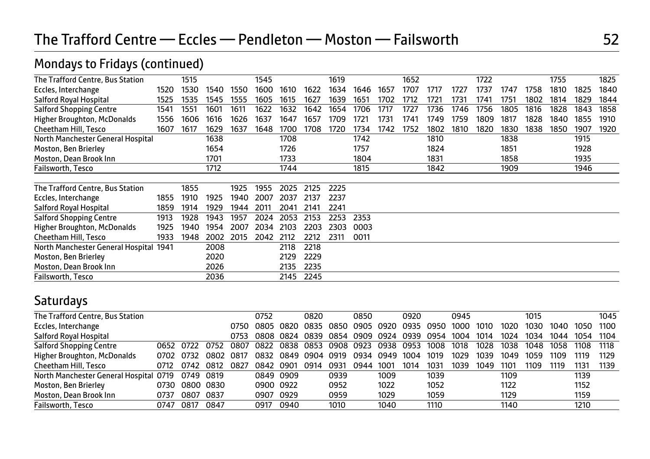## Mondays to Fridays (continued)

| The Trafford Centre, Bus Station       |      | 1515 |      |      | 1545 |      |      | 1619 |      |      | 1652 |      |      | 1722 |      |      | 1755 |      | 1825 |
|----------------------------------------|------|------|------|------|------|------|------|------|------|------|------|------|------|------|------|------|------|------|------|
| Eccles, Interchange                    | 1520 | 1530 | 1540 | 1550 | 1600 | 1610 | 1622 | 1634 | 1646 | 1657 | 1707 | 1717 | 1727 | 1737 | 1747 | 1758 | 1810 | 1825 | 1840 |
| Salford Royal Hospital                 | 1525 | 1535 | 1545 | 1555 | 1605 | 1615 | 1627 | 1639 | 1651 | 1702 | 1712 | 1721 | 1731 | 1741 | 1751 | 1802 | 1814 | 1829 | 1844 |
| <b>Salford Shopping Centre</b>         | 1541 | 1551 | 1601 | 1611 | 1622 | 1632 | 1642 | 1654 | 1706 | 1717 | 1727 | 1736 | 1746 | 1756 | 1805 | 1816 | 1828 | 1843 | 1858 |
| <b>Higher Broughton, McDonalds</b>     | 1556 | 1606 | 1616 | 1626 | 1637 | 1647 | 1657 | 1709 | 1721 | 1731 | 1741 | 1749 | 1759 | 1809 | 1817 | 1828 | 1840 | 1855 | 1910 |
| Cheetham Hill, Tesco                   | 1607 | 1617 | 1629 | 1637 | 1648 | 1700 | 1708 | 1720 | 1734 | 1742 | 1752 | 1802 | 1810 | 1820 | 1830 | 1838 | 1850 | 1907 | 1920 |
| North Manchester General Hospital      |      |      | 1638 |      |      | 1708 |      |      | 1742 |      |      | 1810 |      |      | 1838 |      |      | 1915 |      |
| Moston, Ben Brierley                   |      |      | 1654 |      |      | 1726 |      |      | 1757 |      |      | 1824 |      |      | 1851 |      |      | 1928 |      |
| Moston, Dean Brook Inn                 |      |      | 1701 |      |      | 1733 |      |      | 1804 |      |      | 1831 |      |      | 1858 |      |      | 1935 |      |
| Failsworth, Tesco                      |      |      | 1712 |      |      | 1744 |      |      | 1815 |      |      | 1842 |      |      | 1909 |      |      | 1946 |      |
|                                        |      |      |      |      |      |      |      |      |      |      |      |      |      |      |      |      |      |      |      |
| The Trafford Centre, Bus Station       |      | 1855 |      | 1925 | 1955 | 2025 | 2125 | 2225 |      |      |      |      |      |      |      |      |      |      |      |
| Eccles, Interchange                    | 1855 | 1910 | 1925 | 1940 | 2007 | 2037 | 2137 | 2237 |      |      |      |      |      |      |      |      |      |      |      |
| Salford Royal Hospital                 | 1859 | 1914 | 1929 | 1944 | 2011 | 2041 | 2141 | 2241 |      |      |      |      |      |      |      |      |      |      |      |
| <b>Salford Shopping Centre</b>         | 1913 | 1928 | 1943 | 1957 | 2024 | 2053 | 2153 | 2253 | 2353 |      |      |      |      |      |      |      |      |      |      |
| Higher Broughton, McDonalds            | 1925 | 1940 | 1954 | 2007 | 2034 | 2103 | 2203 | 2303 | 0003 |      |      |      |      |      |      |      |      |      |      |
| Cheetham Hill, Tesco                   | 1933 | 1948 | 2002 | 2015 | 2042 | 2112 | 2212 | 2311 | 0011 |      |      |      |      |      |      |      |      |      |      |
| North Manchester General Hospital 1941 |      |      | 2008 |      |      | 2118 | 2218 |      |      |      |      |      |      |      |      |      |      |      |      |
| Moston, Ben Brierley                   |      |      | 2020 |      |      | 2129 | 2229 |      |      |      |      |      |      |      |      |      |      |      |      |
| Moston, Dean Brook Inn                 |      |      | 2026 |      |      | 2135 | 2235 |      |      |      |      |      |      |      |      |      |      |      |      |
| Failsworth, Tesco                      |      |      | 2036 |      |      | 2145 | 2245 |      |      |      |      |      |      |      |      |      |      |      |      |

# Saturdays

| The Trafford Centre, Bus Station       |      |           |           |      | 0752 |           | 0820 |      | 0850           |      | 0920 |      | 0945 |      |      | 1015 |      |      | 1045 |
|----------------------------------------|------|-----------|-----------|------|------|-----------|------|------|----------------|------|------|------|------|------|------|------|------|------|------|
| Eccles, Interchange                    |      |           |           | 0750 | 0805 | 0820      | 0835 | กลรด | 0905           | 0920 | 0935 | 0950 | 1000 | 1010 | 1020 | 1030 | 1040 | 1050 | 1100 |
| Salford Royal Hospital                 |      |           |           | 0753 |      | 0808 0824 | 0839 | 0854 | 0909 0924 0939 |      |      | 0954 | 1004 | 1014 | 1024 | 1034 | 1044 | 1054 | 1104 |
| <b>Salford Shopping Centre</b>         |      | 0652 0722 | 0752      | 0807 | 0822 | 0838      | 0853 | 0908 | 0923           | 0938 | 0953 | 1008 | 1018 | 1028 | 1038 | 1048 | 1058 | 1108 | 1118 |
| Higher Broughton, McDonalds            | 0702 | 0732      | 0802      | 0817 | 0832 | 0849      | 0904 | 0919 | 0934           | 0949 | 1004 | 1019 | 1029 | 1039 | 1049 | 1059 | 1109 | 1119 | 1129 |
| Cheetham Hill, Tesco                   | 0712 | 0742      | 0812      | 0827 | 0842 | 0901      | 0914 | 0931 | 0944           | 1001 | 1014 | 1031 | 1039 | 1049 | 1101 | 1109 | 1119 | 1131 | 1139 |
| North Manchester General Hospital 0719 |      | 0749 0819 |           |      |      | 0849 0909 |      | 0939 |                | 1009 |      | 1039 |      |      | 1109 |      |      | 1139 |      |
| Moston, Ben Brierley                   | 0730 |           | 0800 0830 |      |      | 0900 0922 |      | 0952 |                | 1022 |      | 1052 |      |      | 1122 |      |      | 1152 |      |
| Moston, Dean Brook Inn                 | 0737 | 0807      | 0837      |      | 0907 | 0929      |      | 0959 |                | 1029 |      | 1059 |      |      | 1129 |      |      | 1159 |      |
| Failsworth, Tesco                      | 0747 | 0817      | 0847      |      | 0917 | 0940      |      | 1010 |                | 1040 |      | 1110 |      |      | 1140 |      |      | 1210 |      |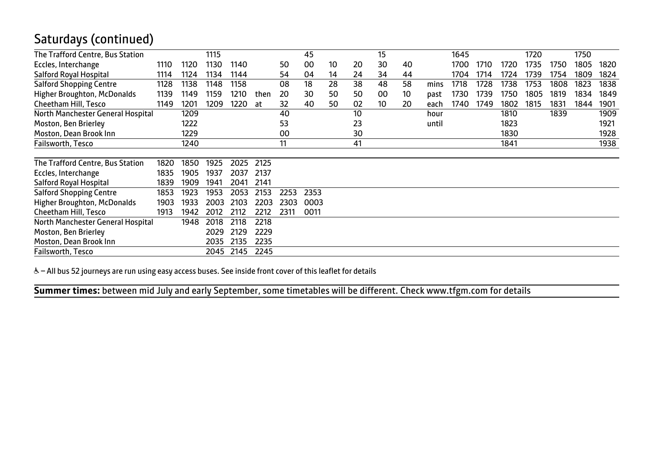# Saturdays (continued)

| The Trafford Centre, Bus Station   |      |      | 1115 |      |      |      | 45   |    |    | 15 |    |       | 1645 |      |      | 1720 |      | 1750 |      |
|------------------------------------|------|------|------|------|------|------|------|----|----|----|----|-------|------|------|------|------|------|------|------|
| Eccles, Interchange                | 1110 | 1120 | 1130 | 1140 |      | 50   | 00   | 10 | 20 | 30 | 40 |       | 1700 | 1710 | 1720 | 1735 | 1750 | 1805 | 1820 |
| Salford Royal Hospital             | 1114 | 1124 | 1134 | 1144 |      | 54   | 04   | 14 | 24 | 34 | 44 |       | 1704 | 1714 | 1724 | 1739 | 1754 | 1809 | 1824 |
| <b>Salford Shopping Centre</b>     | 1128 | 1138 | 1148 | 1158 |      | 08   | 18   | 28 | 38 | 48 | 58 | mins  | 1718 | 1728 | 1738 | 1753 | 1808 | 1823 | 1838 |
| <b>Higher Broughton, McDonalds</b> | 1139 | 1149 | 1159 | 1210 | then | 20   | 30   | 50 | 50 | 00 | 10 | past  | 1730 | 1739 | 1750 | 1805 | 1819 | 1834 | 1849 |
| Cheetham Hill, Tesco               | 1149 | 1201 | 1209 | 1220 | at   | 32   | 40   | 50 | 02 | 10 | 20 | each  | 1740 | 1749 | 1802 | 1815 | 1831 | 1844 | 1901 |
| North Manchester General Hospital  |      | 1209 |      |      |      | 40   |      |    | 10 |    |    | hour  |      |      | 1810 |      | 1839 |      | 1909 |
| Moston, Ben Brierley               |      | 1222 |      |      |      | 53   |      |    | 23 |    |    | until |      |      | 1823 |      |      |      | 1921 |
| Moston, Dean Brook Inn             |      | 1229 |      |      |      | 00   |      |    | 30 |    |    |       |      |      | 1830 |      |      |      | 1928 |
| Failsworth, Tesco                  |      | 1240 |      |      |      | 11   |      |    | 41 |    |    |       |      |      | 1841 |      |      |      | 1938 |
|                                    |      |      |      |      |      |      |      |    |    |    |    |       |      |      |      |      |      |      |      |
| The Trafford Centre, Bus Station   | 1820 | 1850 | 1925 | 2025 | 2125 |      |      |    |    |    |    |       |      |      |      |      |      |      |      |
| Eccles, Interchange                | 1835 | 1905 | 1937 | 2037 | 2137 |      |      |    |    |    |    |       |      |      |      |      |      |      |      |
| Salford Royal Hospital             | 1839 | 1909 | 1941 | 2041 | 2141 |      |      |    |    |    |    |       |      |      |      |      |      |      |      |
| <b>Salford Shopping Centre</b>     | 1853 | 1923 | 1953 | 2053 | 2153 | 2253 | 2353 |    |    |    |    |       |      |      |      |      |      |      |      |
| <b>Higher Broughton, McDonalds</b> | 1903 | 1933 | 2003 | 2103 | 2203 | 2303 | 0003 |    |    |    |    |       |      |      |      |      |      |      |      |
| Cheetham Hill, Tesco               | 1913 | 1942 | 2012 | 2112 | 2212 | 2311 | 0011 |    |    |    |    |       |      |      |      |      |      |      |      |
| North Manchester General Hospital  |      | 1948 | 2018 | 2118 | 2218 |      |      |    |    |    |    |       |      |      |      |      |      |      |      |
| Moston, Ben Brierley               |      |      | 2029 | 2129 | 2229 |      |      |    |    |    |    |       |      |      |      |      |      |      |      |
| Moston, Dean Brook Inn             |      |      | 2035 | 2135 | 2235 |      |      |    |    |    |    |       |      |      |      |      |      |      |      |
| Failsworth, Tesco                  |      |      | 2045 | 2145 | 2245 |      |      |    |    |    |    |       |      |      |      |      |      |      |      |
|                                    |      |      |      |      |      |      |      |    |    |    |    |       |      |      |      |      |      |      |      |

& - All bus 52 journeys are run using easy access buses. See inside front cover of this leaflet for details